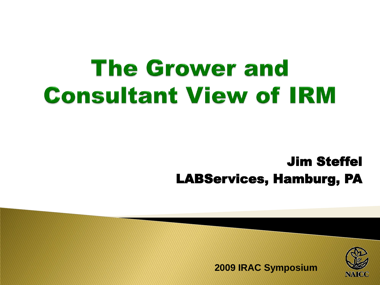# **The Grower and Consultant View of IRM**

#### Jim Steffel LABServices, Hamburg, PA

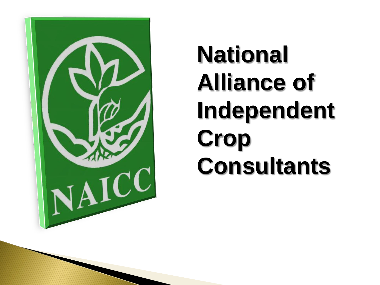

# **National Alliance of Independent Crop Consultants**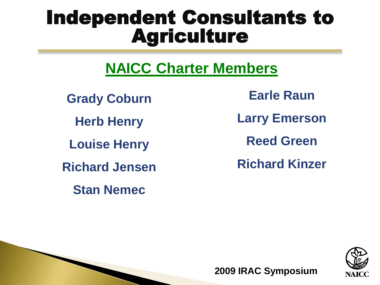## Independent Consultants to **Agriculture**

#### **NAICC Charter Members**

**Grady Coburn Herb Henry Louise Henry Richard Jensen Stan Nemec**

**Earle Raun**

**Larry Emerson**

**Reed Green**

**Richard Kinzer**

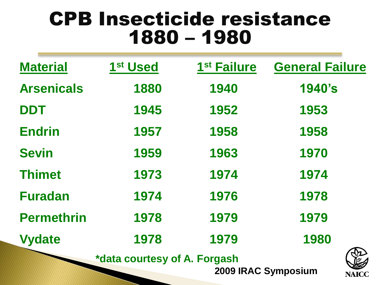## CPB Insecticide resistance 1880 – 1980

| <b>Material</b>                                            | 1 <sup>st</sup> Used | 1 <sup>st</sup> Failure | <b>General Failure</b> |  |
|------------------------------------------------------------|----------------------|-------------------------|------------------------|--|
| <b>Arsenicals</b>                                          | 1880                 | 1940                    | 1940's                 |  |
| <b>DDT</b>                                                 | 1945                 | 1952                    | 1953                   |  |
| <b>Endrin</b>                                              | 1957                 | 1958                    | 1958                   |  |
| <b>Sevin</b>                                               | 1959                 | 1963                    | 1970                   |  |
| <b>Thimet</b>                                              | 1973                 | 1974                    | 1974                   |  |
| <b>Furadan</b>                                             | 1974                 | 1976                    | 1978                   |  |
| <b>Permethrin</b>                                          | 1978                 | 1979                    | 1979                   |  |
| <b>Vydate</b>                                              | 1978                 | 1979                    | 1980                   |  |
| *data courtesy of A. Forgash<br><b>2009 IRAC Symposium</b> |                      |                         |                        |  |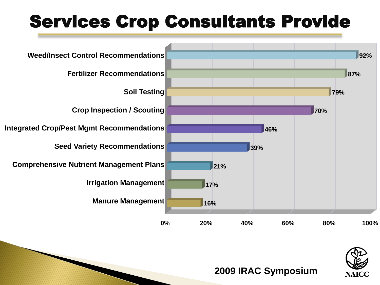# Services Crop Consultants Provide



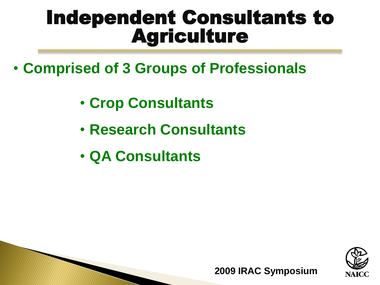## Independent Consultants to **Agriculture**

- **Comprised of 3 Groups of Professionals**
	- **Crop Consultants**
	- **Research Consultants**
	- **QA Consultants**

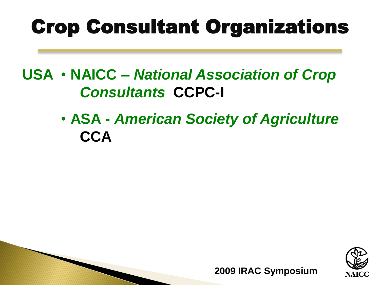# Crop Consultant Organizations

#### • **NAICC –** *National Association of Crop*  **USA***Consultants* **CCPC-I**

• **ASA -** *American Society of Agriculture*  **CCA**

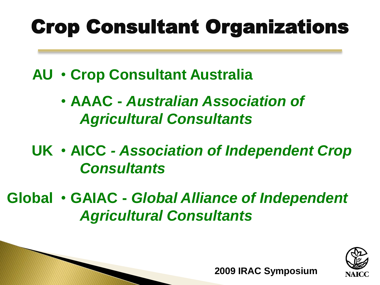# Crop Consultant Organizations

• **Crop Consultant Australia AU**

#### • **AAAC -** *Australian Association of Agricultural Consultants*

• **AICC** *- Association of Independent Crop*  **UK***Consultants* 

• **GAIAC -** *Global Alliance of Independent*  **Global** *Agricultural Consultants*

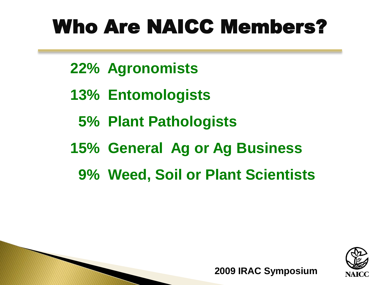# Who Are NAICC Members?

- **22% Agronomists**
- **13% Entomologists**
	- **5% Plant Pathologists**
- **15% General Ag or Ag Business**
	- **9% Weed, Soil or Plant Scientists**

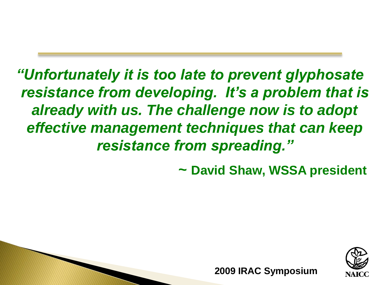*"Unfortunately it is too late to prevent glyphosate resistance from developing. It's a problem that is already with us. The challenge now is to adopt effective management techniques that can keep resistance from spreading."* 

**~ David Shaw, WSSA president** 

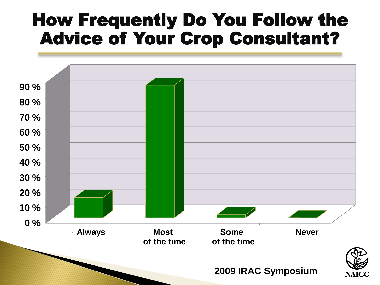### How Frequently Do You Follow the Advice of Your Crop Consultant?

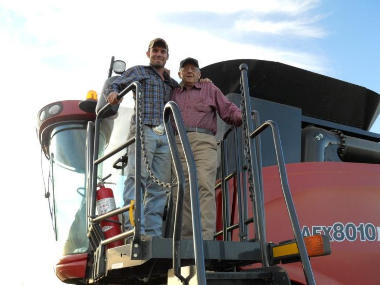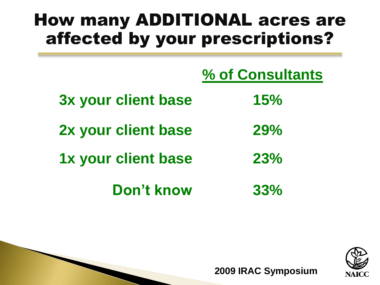### How many ADDITIONAL acres are affected by your prescriptions?

|                     | % of Consultants |
|---------------------|------------------|
| 3x your client base | 15%              |
| 2x your client base | 29%              |
| 1x your client base | 23%              |
| Don't know          | 33%              |

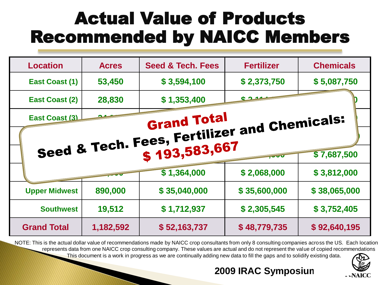## Actual Value of Products Recommended by NAICC Members

| <b>Location</b>                              | <b>Acres</b> | <b>Seed &amp; Tech. Fees</b> | <b>Fertilizer</b>   | <b>Chemicals</b> |  |  |
|----------------------------------------------|--------------|------------------------------|---------------------|------------------|--|--|
| <b>East Coast (1)</b>                        | 53,450       | \$3,594,100                  | \$2,373,750         | \$5,087,750      |  |  |
| <b>East Coast (2)</b>                        | 28,830       | \$1,353,400                  | $\bullet$ $\bullet$ |                  |  |  |
| East Coast (3)                               |              | <b>Grand Total</b>           |                     |                  |  |  |
| Seed & Tech. Fees, Fertilizer and Chemicals: |              |                              |                     |                  |  |  |
|                                              |              |                              |                     |                  |  |  |
|                                              |              |                              |                     | \$7,687,500      |  |  |
|                                              |              | \$193,583,667<br>\$1,364,000 | \$2,068,000         | \$3,812,000      |  |  |
| <b>Upper Midwest</b>                         | 890,000      | \$35,040,000                 | \$35,600,000        | \$38,065,000     |  |  |
| <b>Southwest</b>                             | 19,512       | \$1,712,937                  | \$2,305,545         | \$3,752,405      |  |  |

NOTE: This is the actual dollar value of recommendations made by NAICC crop consultants from only 8 consulting companies across the US. Each location represents data from one NAICC crop consulting company. These values are actual and do not represent the value of copied recommendations This document is a work in progress as we are continually adding new data to fill the gaps and to solidify existing data.

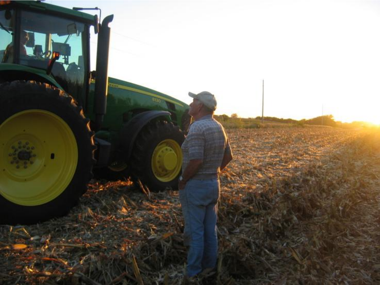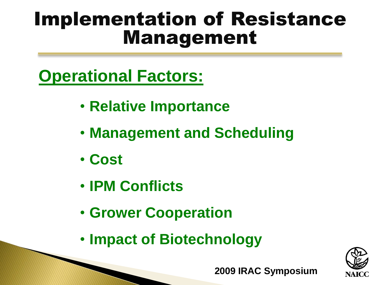## Implementation of Resistance Management

### **Operational Factors:**

- **Relative Importance**
- **Management and Scheduling**
- **Cost**
- **IPM Conflicts**
- **Grower Cooperation**
- **Impact of Biotechnology**

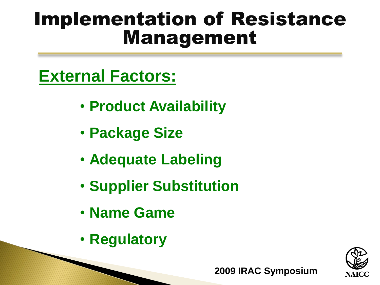## Implementation of Resistance Management

#### **External Factors:**

- **Product Availability**
- **Package Size**
- **Adequate Labeling**
- **Supplier Substitution**
- **Name Game**
- **Regulatory**

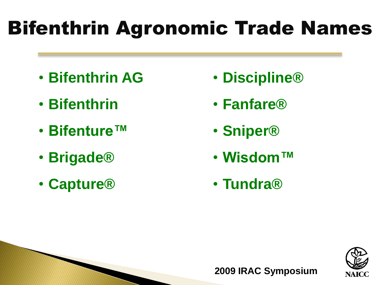# Bifenthrin Agronomic Trade Names

- **Bifenthrin AG**
- **Bifenthrin**
- **Bifenture™**
- **Brigade®**
- **Capture®**
- **Discipline®**
- **Fanfare®**
- **Sniper®**
- **Wisdom™**
- **Tundra®**

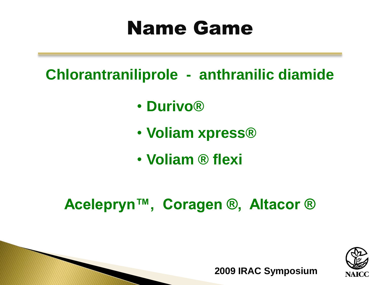# Name Game

#### **Chlorantraniliprole - anthranilic diamide**

- **Durivo®**
- **Voliam xpress®**
- **Voliam ® flexi**

#### **Acelepryn™, Coragen ®, Altacor ®**

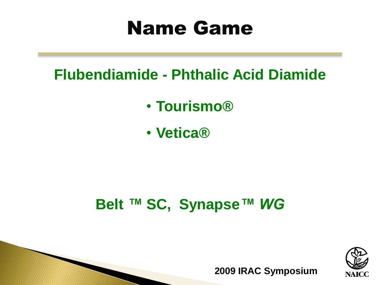## Name Game

#### **Flubendiamide - Phthalic Acid Diamide**

- **Tourismo®**
- **Vetica®**

#### **Belt** *™* **SC, Synapse***™ WG*

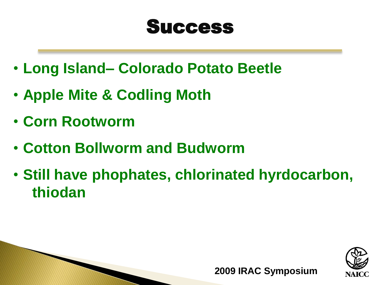# Success

- **Long Island– Colorado Potato Beetle**
- **Apple Mite & Codling Moth**
- **Corn Rootworm**
- **Cotton Bollworm and Budworm**
- **Still have phophates, chlorinated hyrdocarbon, thiodan**

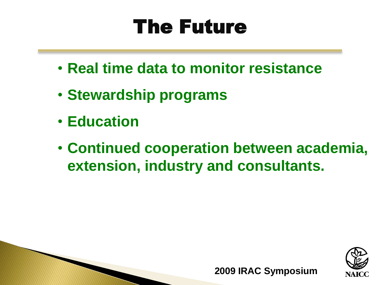# The Future

- **Real time data to monitor resistance**
- **Stewardship programs**
- **Education**
- **Continued cooperation between academia, extension, industry and consultants.**